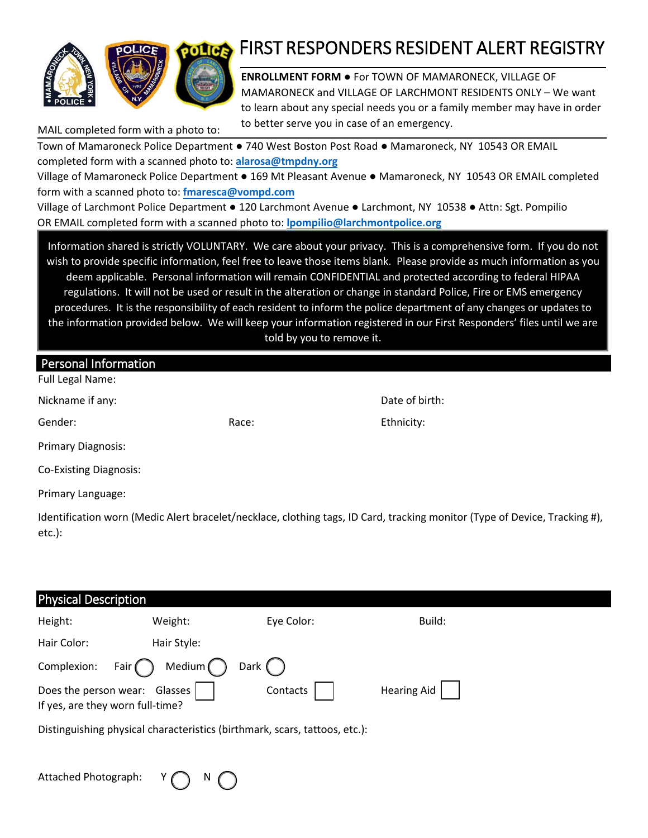

# FIRST RESPONDERS RESIDENT ALERT REGISTRY

**ENROLLMENT FORM** ● For TOWN OF MAMARONECK, VILLAGE OF MAMARONECK and VILLAGE OF LARCHMONT RESIDENTS ONLY – We want to learn about any special needs you or a family member may have in order to better serve you in case of an emergency. MAIL completed form with a photo to:

Town of Mamaroneck Police Department ● 740 West Boston Post Road ● Mamaroneck, NY 10543 OR EMAIL completed form with a scanned photo to: **alarosa@[tmpdny.org](mailto:alarosa@tmpdny.org)**  Village of Mamaroneck Police Department ● 169 Mt Pleasant Avenue ● Mamaroneck, NY 10543 OR EMAIL completed

form with a scanned photo to: **fmaresca@vompd.c[om](mailto:fmaresca@vompd.com)**

Village of Larchmont Police Department ● 120 Larchmont Avenue ● Larchmont, NY 10538 ● Attn: Sgt. Pompilio OR EMAIL completed form with a scanned photo to: **[lpompilio@larchmontpolice.org](mailto:lpompilio@larchmontpolice.org)** 

Information shared is strictly VOLUNTARY. We care about your privacy. This is a comprehensive form. If you do not wish to provide specific information, feel free to leave those items blank. Please provide as much information as you deem applicable. Personal information will remain CONFIDENTIAL and protected according to federal HIPAA regulations. It will not be used or result in the alteration or change in standard Police, Fire or EMS emergency procedures. It is the responsibility of each resident to inform the police department of any changes or updates to the information provided below. We will keep your information registered in our First Responders' files until we are told by you to remove it.

| <b>Personal Information</b><br>Full Legal Name: |       |                |
|-------------------------------------------------|-------|----------------|
| Nickname if any:                                |       | Date of birth: |
| Gender:                                         | Race: | Ethnicity:     |
| Primary Diagnosis:                              |       |                |
| <b>Co-Existing Diagnosis:</b>                   |       |                |
| Primary Language:                               |       |                |

Identification worn (Medic Alert bracelet/necklace, clothing tags, ID Card, tracking monitor (Type of Device, Tracking #), etc.):

| <b>Physical Description</b>                                       |                    |                                                                            |                    |  |
|-------------------------------------------------------------------|--------------------|----------------------------------------------------------------------------|--------------------|--|
| Height:                                                           | Weight:            | Eye Color:                                                                 | Build:             |  |
| Hair Color:                                                       | Hair Style:        |                                                                            |                    |  |
| Complexion:                                                       | Medium (<br>Fair ( | Dark (                                                                     |                    |  |
| Does the person wear: Glasses<br>If yes, are they worn full-time? |                    | Contacts                                                                   | <b>Hearing Aid</b> |  |
|                                                                   |                    | Distinguishing physical characteristics (birthmark, scars, tattoos, etc.): |                    |  |
|                                                                   |                    |                                                                            |                    |  |

Attached Photograph: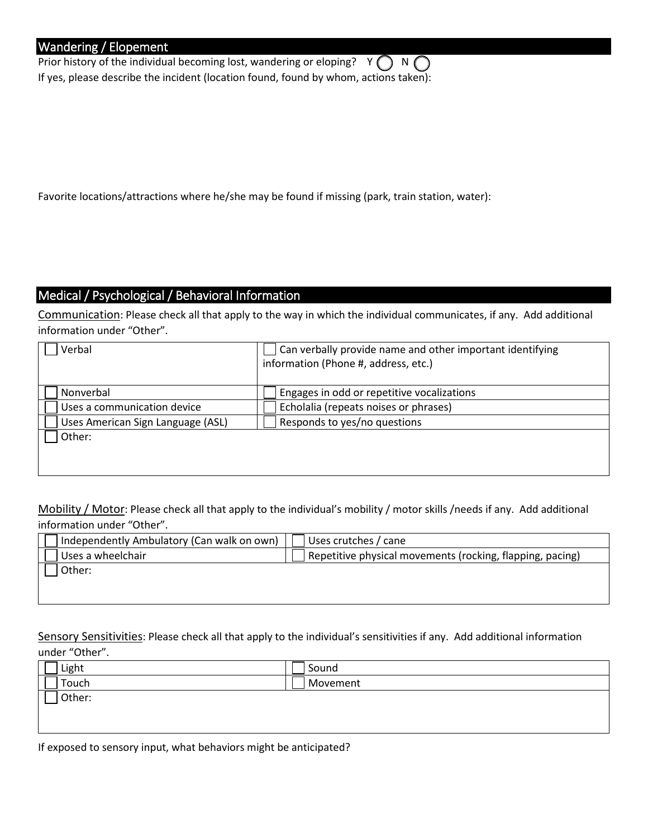### Wandering / Elopement

Prior history of the individual becoming lost, wandering or eloping?  $Y \cap N$ If yes, please describe the incident (location found, found by whom, actions taken):

Favorite locations/attractions where he/she may be found if missing (park, train station, water):

### Medical / Psychological / Behavioral Information

Communication: Please check all that apply to the way in which the individual communicates, if any. Add additional information under "Other".

| Verbal                            | Can verbally provide name and other important identifying<br>information (Phone #, address, etc.) |
|-----------------------------------|---------------------------------------------------------------------------------------------------|
| Nonverbal                         | Engages in odd or repetitive vocalizations                                                        |
| Uses a communication device       | Echolalia (repeats noises or phrases)                                                             |
| Uses American Sign Language (ASL) | Responds to yes/no questions                                                                      |
| Other:                            |                                                                                                   |
|                                   |                                                                                                   |
|                                   |                                                                                                   |

Mobility / Motor: Please check all that apply to the individual's mobility / motor skills /needs if any. Add additional information under "Other".

| Independently Ambulatory (Can walk on own) | I Uses crutches / cane                                    |
|--------------------------------------------|-----------------------------------------------------------|
| Uses a wheelchair                          | Repetitive physical movements (rocking, flapping, pacing) |
| Other:                                     |                                                           |
|                                            |                                                           |

Sensory Sensitivities: Please check all that apply to the individual's sensitivities if any. Add additional information under "Other".

| Light  | Sound    |  |
|--------|----------|--|
| Touch  | Movement |  |
| Other: |          |  |
|        |          |  |
|        |          |  |

| If exposed to sensory input, what behaviors might be anticipated? |  |
|-------------------------------------------------------------------|--|
|-------------------------------------------------------------------|--|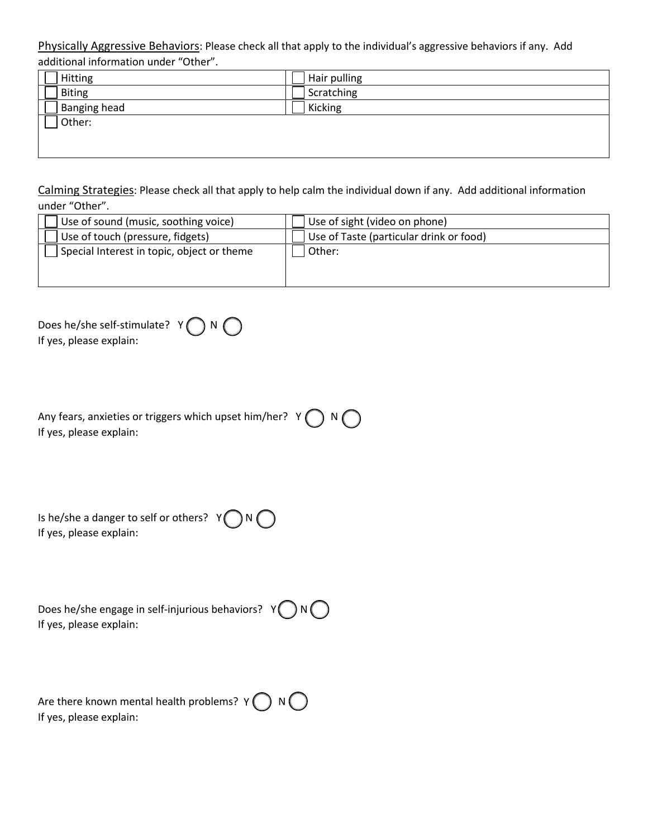Physically Aggressive Behaviors: Please check all that apply to the individual's aggressive behaviors if any. Add additional information under "Other".

| Hitting             | Hair pulling |
|---------------------|--------------|
| <b>Biting</b>       | Scratching   |
| <b>Banging head</b> | Kicking      |
| Other:              |              |
|                     |              |

Calming Strategies: Please check all that apply to help calm the individual down if any. Add additional information under "Other".

| Use of sound (music, soothing voice)       | Use of sight (video on phone)           |
|--------------------------------------------|-----------------------------------------|
| Use of touch (pressure, fidgets)           | Use of Taste (particular drink or food) |
| Special Interest in topic, object or theme | Other:                                  |
|                                            |                                         |
|                                            |                                         |

| Does he/she self-stimulate? $Y \bigcap N$ |  |
|-------------------------------------------|--|
| If yes, please explain:                   |  |

| Any fears, anxieties or triggers which upset him/her? Y $\bigcirc$ N $\bigcirc$ |  |  |
|---------------------------------------------------------------------------------|--|--|
| If yes, please explain:                                                         |  |  |

| Is he/she a danger to self or others? $Y \bigcap N \bigcap N$ |  |
|---------------------------------------------------------------|--|
| If yes, please explain:                                       |  |

| Does he/she engage in self-injurious behaviors? $Y \bigcap N$ |  |
|---------------------------------------------------------------|--|
| If yes, please explain:                                       |  |

Are there known mental health problems?  $Y(\ )$  N If yes, please explain: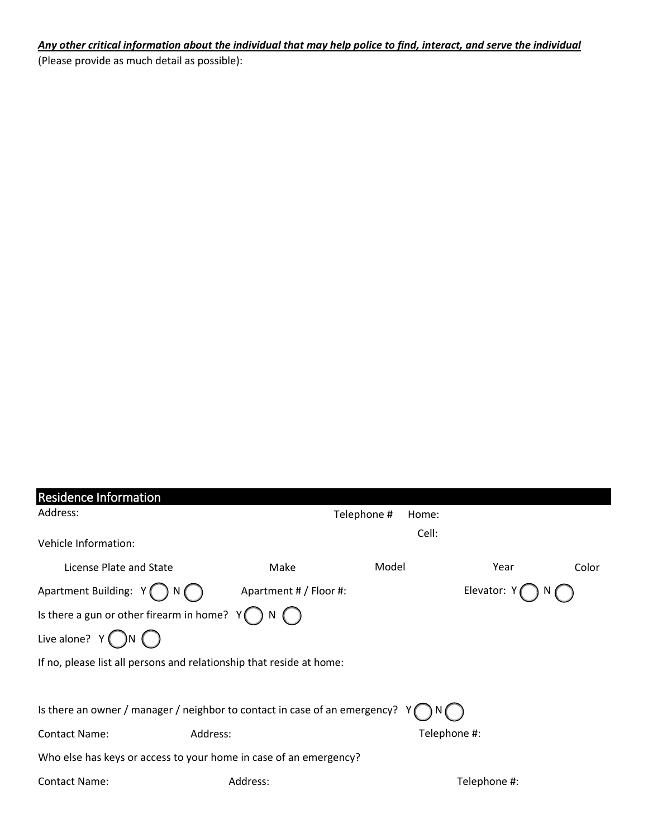#### *Any other critical information about the individual that may help police to find, interact, and serve the individual*

(Please provide as much detail as possible):

| <b>Residence Information</b>                                               |                        |             |              |              |       |
|----------------------------------------------------------------------------|------------------------|-------------|--------------|--------------|-------|
| Address:                                                                   |                        | Telephone # | Home:        |              |       |
| Vehicle Information:                                                       |                        |             | Cell:        |              |       |
| License Plate and State                                                    | Make                   | Model       |              | Year         | Color |
| Apartment Building: $Y$ $\bigcap N$                                        | Apartment # / Floor #: |             |              | Elevator:    |       |
| Is there a gun or other firearm in home?                                   |                        |             |              |              |       |
| Live alone? $Y(\bigcap N(\bigcap$                                          |                        |             |              |              |       |
| If no, please list all persons and relationship that reside at home:       |                        |             |              |              |       |
|                                                                            |                        |             |              |              |       |
| Is there an owner / manager / neighbor to contact in case of an emergency? |                        |             |              |              |       |
| Contact Name:                                                              | Address:               |             | Telephone #: |              |       |
| Who else has keys or access to your home in case of an emergency?          |                        |             |              |              |       |
| <b>Contact Name:</b>                                                       | Address:               |             |              | Telephone #: |       |
|                                                                            |                        |             |              |              |       |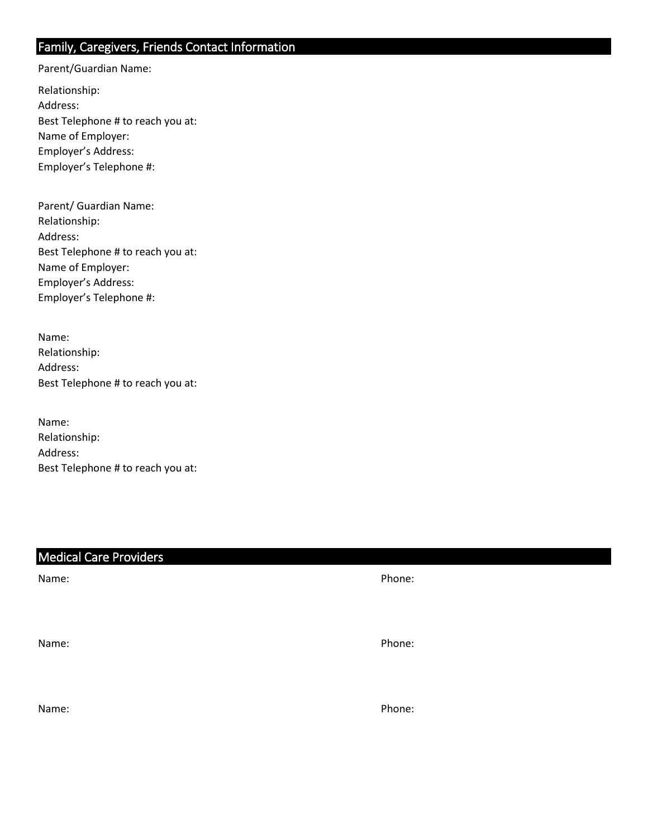## Family, Caregivers, Friends Contact Information

Parent/Guardian Name:

Relationship: Address: Best Telephone # to reach you at: Name of Employer: Employer's Address: Employer's Telephone #:

| Parent/ Guardian Name:            |
|-----------------------------------|
| Relationship:                     |
| Address:                          |
| Best Telephone # to reach you at: |
| Name of Employer:                 |
| Employer's Address:               |
| Employer's Telephone #:           |

| Name:                             |
|-----------------------------------|
| Relationship:                     |
| Address:                          |
| Best Telephone # to reach you at: |

| Name:                             |
|-----------------------------------|
| Relationship:                     |
| Address:                          |
| Best Telephone # to reach you at: |

## Medical Care Providers

Name: Phone: Phone: Phone: Phone: Phone: Phone: Phone: Phone: Phone: Phone: Phone: Phone: Phone: Phone: Phone: Phone: Phone: Phone: Phone: Phone: Phone: Phone: Phone: Phone: Phone: Phone: Phone: Phone: Phone: Phone: Phone:

Name: Phone: Phone: Phone: Phone: Phone: Phone: Phone: Phone: Phone: Phone: Phone: Phone: Phone: Phone: Phone: Phone: Phone: Phone: Phone: Phone: Phone: Phone: Phone: Phone: Phone: Phone: Phone: Phone: Phone: Phone: Phone:

Name: Phone: Phone: Phone: Phone: Phone: Phone: Phone: Phone: Phone: Phone: Phone: Phone: Phone: Phone: Phone: Phone: Phone: Phone: Phone: Phone: Phone: Phone: Phone: Phone: Phone: Phone: Phone: Phone: Phone: Phone: Phone: